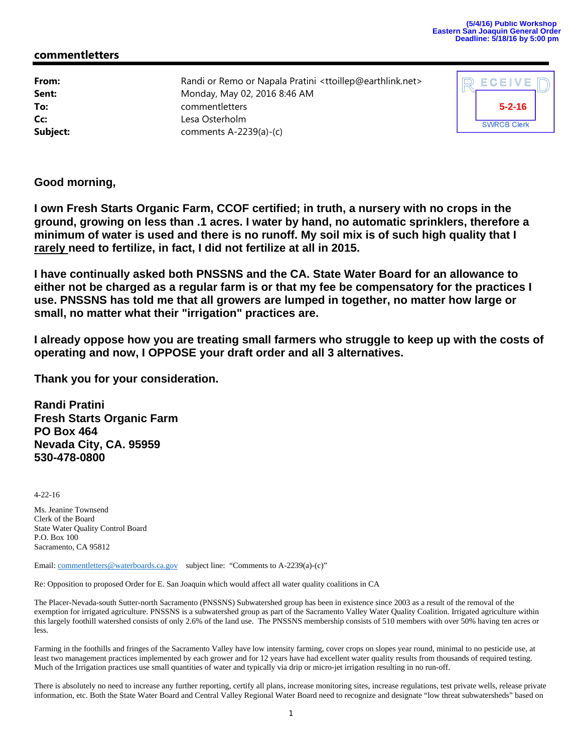## **commentletters**

**From:** Randi or Remo or Napala Pratini <ttoillep@earthlink.net> **Sent:** Monday, May 02, 2016 8:46 AM **To:** commentletters **Cc:** Lesa Osterholm **Subject:** comments A-2239(a)-(c)

| ECEIVE             |  |
|--------------------|--|
| $5 - 2 - 16$       |  |
| <b>SWRCB Clerk</b> |  |

**Good morning,**

**I own Fresh Starts Organic Farm, CCOF certified; in truth, a nursery with no crops in the ground, growing on less than .1 acres. I water by hand, no automatic sprinklers, therefore a minimum of water is used and there is no runoff. My soil mix is of such high quality that I rarely need to fertilize, in fact, I did not fertilize at all in 2015.**

**I have continually asked both PNSSNS and the CA. State Water Board for an allowance to either not be charged as a regular farm is or that my fee be compensatory for the practices I use. PNSSNS has told me that all growers are lumped in together, no matter how large or small, no matter what their "irrigation" practices are.**

**I already oppose how you are treating small farmers who struggle to keep up with the costs of operating and now, I OPPOSE your draft order and all 3 alternatives.**

**Thank you for your consideration.**

**Randi Pratini Fresh Starts Organic Farm PO Box 464 Nevada City, CA. 95959 530-478-0800**

4-22-16

Ms. Jeanine Townsend Clerk of the Board State Water Quality Control Board P.O. Box 100 Sacramento, CA 95812

Email: commentletters@waterboards.ca.gov subject line: "Comments to A-2239(a)-(c)"

Re: Opposition to proposed Order for E. San Joaquin which would affect all water quality coalitions in CA

The Placer-Nevada-south Sutter-north Sacramento (PNSSNS) Subwatershed group has been in existence since 2003 as a result of the removal of the exemption for irrigated agriculture. PNSSNS is a subwatershed group as part of the Sacramento Valley Water Quality Coalition. Irrigated agriculture within this largely foothill watershed consists of only 2.6% of the land use. The PNSSNS membership consists of 510 members with over 50% having ten acres or less.

Farming in the foothills and fringes of the Sacramento Valley have low intensity farming, cover crops on slopes year round, minimal to no pesticide use, at least two management practices implemented by each grower and for 12 years have had excellent water quality results from thousands of required testing. Much of the Irrigation practices use small quantities of water and typically via drip or micro-jet irrigation resulting in no run-off.

There is absolutely no need to increase any further reporting, certify all plans, increase monitoring sites, increase regulations, test private wells, release private information, etc. Both the State Water Board and Central Valley Regional Water Board need to recognize and designate "low threat subwatersheds" based on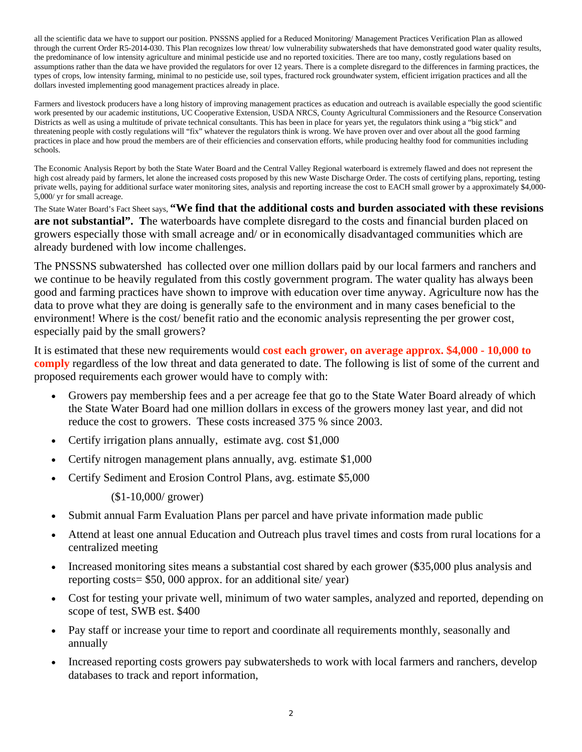all the scientific data we have to support our position. PNSSNS applied for a Reduced Monitoring/ Management Practices Verification Plan as allowed through the current Order R5-2014-030. This Plan recognizes low threat/ low vulnerability subwatersheds that have demonstrated good water quality results, the predominance of low intensity agriculture and minimal pesticide use and no reported toxicities. There are too many, costly regulations based on assumptions rather than the data we have provided the regulators for over 12 years. There is a complete disregard to the differences in farming practices, the types of crops, low intensity farming, minimal to no pesticide use, soil types, fractured rock groundwater system, efficient irrigation practices and all the dollars invested implementing good management practices already in place.

Farmers and livestock producers have a long history of improving management practices as education and outreach is available especially the good scientific work presented by our academic institutions, UC Cooperative Extension, USDA NRCS, County Agricultural Commissioners and the Resource Conservation Districts as well as using a multitude of private technical consultants. This has been in place for years yet, the regulators think using a "big stick" and threatening people with costly regulations will "fix" whatever the regulators think is wrong. We have proven over and over about all the good farming practices in place and how proud the members are of their efficiencies and conservation efforts, while producing healthy food for communities including schools.

The Economic Analysis Report by both the State Water Board and the Central Valley Regional waterboard is extremely flawed and does not represent the high cost already paid by farmers, let alone the increased costs proposed by this new Waste Discharge Order. The costs of certifying plans, reporting, testing private wells, paying for additional surface water monitoring sites, analysis and reporting increase the cost to EACH small grower by a approximately \$4,000- 5,000/ yr for small acreage.

The State Water Board's Fact Sheet says, **"We find that the additional costs and burden associated with these revisions are not substantial". T**he waterboards have complete disregard to the costs and financial burden placed on growers especially those with small acreage and/ or in economically disadvantaged communities which are already burdened with low income challenges.

The PNSSNS subwatershed has collected over one million dollars paid by our local farmers and ranchers and we continue to be heavily regulated from this costly government program. The water quality has always been good and farming practices have shown to improve with education over time anyway. Agriculture now has the data to prove what they are doing is generally safe to the environment and in many cases beneficial to the environment! Where is the cost/ benefit ratio and the economic analysis representing the per grower cost, especially paid by the small growers?

It is estimated that these new requirements would **cost each grower, on average approx. \$4,000 - 10,000 to comply** regardless of the low threat and data generated to date. The following is list of some of the current and proposed requirements each grower would have to comply with:

- Growers pay membership fees and a per acreage fee that go to the State Water Board already of which the State Water Board had one million dollars in excess of the growers money last year, and did not reduce the cost to growers. These costs increased 375 % since 2003.
- Certify irrigation plans annually, estimate avg. cost \$1,000
- Certify nitrogen management plans annually, avg. estimate \$1,000
- Certify Sediment and Erosion Control Plans, avg. estimate \$5,000

(\$1-10,000/ grower)

- Submit annual Farm Evaluation Plans per parcel and have private information made public
- Attend at least one annual Education and Outreach plus travel times and costs from rural locations for a centralized meeting
- Increased monitoring sites means a substantial cost shared by each grower (\$35,000 plus analysis and reporting costs= \$50, 000 approx. for an additional site/ year)
- Cost for testing your private well, minimum of two water samples, analyzed and reported, depending on scope of test, SWB est. \$400
- Pay staff or increase your time to report and coordinate all requirements monthly, seasonally and annually
- Increased reporting costs growers pay subwatersheds to work with local farmers and ranchers, develop databases to track and report information,